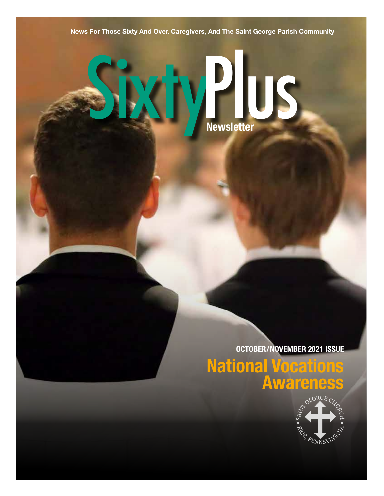**News For Those Sixty And Over, Caregivers, And The Saint George Parish Community**

# SixtyPlus **Newsletter**

**OCTOBER/NOVEMBER 2021 ISSUE**

**National Vocations Awareness**

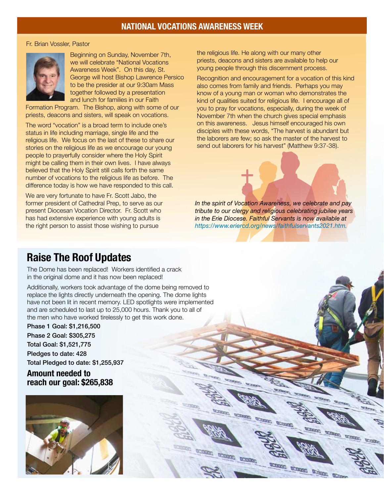# **NATIONAL VOCATIONS AWARENESS WEEK**

### Fr. Brian Vossler, Pastor



Beginning on Sunday, November 7th, we will celebrate "National Vocations Awareness Week". On this day, St. George will host Bishop Lawrence Persico to be the presider at our 9:30am Mass together followed by a presentation and lunch for families in our Faith

Formation Program. The Bishop, along with some of our priests, deacons and sisters, will speak on vocations.

The word "vocation" is a broad term to include one's status in life including marriage, single life and the religious life. We focus on the last of these to share our stories on the religious life as we encourage our young people to prayerfully consider where the Holy Spirit might be calling them in their own lives. I have always believed that the Holy Spirit still calls forth the same number of vocations to the religious life as before. The difference today is how we have responded to this call.

We are very fortunate to have Fr. Scott Jabo, the former president of Cathedral Prep, to serve as our present Diocesan Vocation Director. Fr. Scott who has had extensive experience with young adults is the right person to assist those wishing to pursue

the religious life. He along with our many other priests, deacons and sisters are available to help our young people through this discernment process.

Recognition and encouragement for a vocation of this kind also comes from family and friends. Perhaps you may know of a young man or woman who demonstrates the kind of qualities suited for religious life. I encourage all of you to pray for vocations, especially, during the week of November 7th when the church gives special emphasis on this awareness. Jesus himself encouraged his own disciples with these words, "The harvest is abundant but the laborers are few; so ask the master of the harvest to send out laborers for his harvest" (Matthew 9:37-38).



**Till and** 

**MERGERS** 

**SCORED** 

penned acoust acono-

**MARKS** 

actual actual

**CARD CORP.** 

actual actual actual actual

W.Okke

W.THUG

**WARDER** 

# **Raise The Roof Updates**

The Dome has been replaced! Workers identified a crack in the original dome and it has now been replaced!

Additionally, workers took advantage of the dome being removed to replace the lights directly underneath the opening. The dome lights have not been lit in recent memory. LED spotlights were implemented and are scheduled to last up to 25,000 hours. Thank you to all of the men who have worked tirelessly to get this work done.

Phase 1 Goal: \$1,216,500 Phase 2 Goal: \$305,275 Total Goal: \$1,521,775 Pledges to date: 428 Total Pledged to date: \$1,255,937

**Amount needed to reach our goal: \$265,838** 

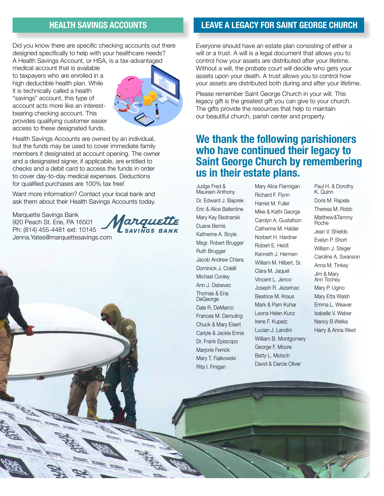### **HEALTH SAVINGS ACCOUNTS**

Did you know there are specific checking accounts out there designed specifically to help with your healthcare needs? A Health Savings Account, or HSA, is a tax-advantaged

medical account that is available to taxpayers who are enrolled in a high deductible health plan. While it is technically called a health "savings" account, this type of account acts more like an interestbearing checking account. This provides qualifying customer easier access to these designated funds.



Health Savings Accounts are owned by an individual, but the funds may be used to cover immediate family members if designated at account opening. The owner and a designated signer, if applicable, are entitled to checks and a debit card to access the funds in order to cover day-to-day medical expenses. Deductions for qualified purchases are 100% tax free!

Want more information? Contact your local bank and ask them about their Health Savings Accounts today.

Marquette Savings Bank 920 Peach St. Erie, PA 16501 Ph: (814) 455-4481 ext: 10145 Jenna.Yates@marquettesavings.com

arguette



# **LEAVE A LEGACY FOR SAINT GEORGE CHURCH**

Everyone should have an estate plan consisting of either a will or a trust. A will is a legal document that allows you to control how your assets are distributed after your lifetime. Without a will, the probate court will decide who gets your assets upon your death. A trust allows you to control how your assets are distributed both during and after your lifetime.

Please remember Saint George Church in your will. This legacy gift is the greatest gift you can give to your church. The gifts provide the resources that help to maintain our beautiful church, parish center and property.

# **We thank the following parishioners who have continued their legacy to Saint George Church by remembering us in their estate plans.**

Judge Fred & Maureen Anthony Dr. Edward J. Bajorek Eric & Alice Ballentine Mary Kay Bednarski Duane Bemis Katherine A. Boyle Msgr. Robert Brugger Ruth Brugger Jacob Andrew Chiera Dominick J. Colelli Michael Conley Ann J. Debevec Thomas & Ena DeGeorge Dale R. DeMarco Frances M. Demuling Chuck & Mary Eisert Carlyle & Jackie Ennis Dr. Frank Episcopo Marjorie Ferrick Mary T. Fialkowski Rita I. Finigan

Mary Alice Flannigan Richard F. Flynn Harriet M. Fuller Mike & Kathi George Carolyn A. Gustafson Catherine M. Halder Norbert H. Hardner Robert E. Heidt Kenneth J. Hermen William M. Hilbert, Sr. Clara M. Jaquel Vincent L. Jenco Joseph R. Jezerinac Beatrice M. Kraus Mark & Pam Kuhar Leona Helen Kunz Irene F. Kupetz Lucian J. Landini William B. Montgomery George F. Moore Betty L. Motsch David & Darcie Oliver

Paul H. & Dorothy K. Quinn Doris M. Rapela Theresa M. Robb Matthew&Tammy Roche Jean V. Shields Evelyn P. Short William J. Steger Caroline A. Swanson Anna M. Tinkey Jim & Mary Ann Toohey Mary P. Ugino Mary Etta Walsh Emma L. Weaver Isabelle V. Weber Nancy B.Welka Harry & Anna West